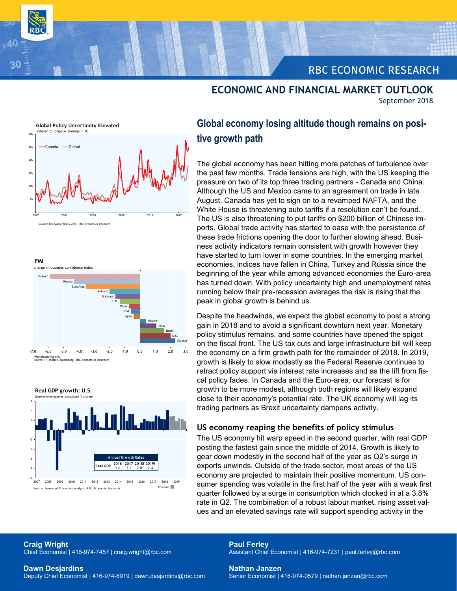## **RBC ECONOMIC RESEARCH**

September 2018

#### 50 100 150 200  $250$ 300 1997 2001 2005 2009 2013 2017 Canada Global xed to long-run average = 100 **Global Policy Uncertainty Elevated**

Source: Policyuncertainty.com, RBC Economics Research

**PMI**

30





# **Global economy losing altitude though remains on posi-**

**ECONOMIC AND FINANCIAL MARKET OUTLOOK**

## **tive growth path**

The global economy has been hitting more patches of turbulence over the past few months. Trade tensions are high, with the US keeping the pressure on two of its top three trading partners - Canada and China. Although the US and Mexico came to an agreement on trade in late August, Canada has yet to sign on to a revamped NAFTA, and the White House is threatening auto tariffs if a resolution can't be found. The US is also threatening to put tariffs on \$200 billion of Chinese imports. Global trade activity has started to ease with the persistence of these trade frictions opening the door to further slowing ahead. Business activity indicators remain consistent with growth however they have started to turn lower in some countries. In the emerging market economies, indices have fallen in China, Turkey and Russia since the beginning of the year while among advanced economies the Euro-area has turned down. With policy uncertainty high and unemployment rates running below their pre-recession averages the risk is rising that the peak in global growth is behind us.

Despite the headwinds, we expect the global economy to post a strong gain in 2018 and to avoid a significant downturn next year. Monetary policy stimulus remains, and some countries have opened the spigot on the fiscal front. The US tax cuts and large infrastructure bill will keep the economy on a firm growth path for the remainder of 2018. In 2019, growth is likely to slow modestly as the Federal Reserve continues to retract policy support via interest rate increases and as the lift from fiscal policy fades. In Canada and the Euro-area, our forecast is for growth to be more modest, although both regions will likely expand close to their economy's potential rate. The UK economy will lag its trading partners as Brexit uncertainty dampens activity.

## **US economy reaping the benefits of policy stimulus**

The US economy hit warp speed in the second quarter, with real GDP posting the fastest gain since the middle of 2014. Growth is likely to gear down modestly in the second half of the year as Q2's surge in exports unwinds. Outside of the trade sector, most areas of the US economy are projected to maintain their positive momentum. US consumer spending was volatile in the first half of the year with a weak first quarter followed by a surge in consumption which clocked in at a 3.8% rate in Q2. The combination of a robust labour market, rising asset values and an elevated savings rate will support spending activity in the

#### **Craig Wright** Chief Economist | 416-974-7457 | craig.wright@rbc.com

**Dawn Desjardins** Deputy Chief Economist | 416-974-6919 | dawn.desjardins@rbc.com **Paul Ferley**

Assistant Chief Economist | 416-974-7231 | paul.ferley@rbc.com

**Nathan Janzen** Senior Economist | 416-974-0579 | nathan.janzen@rbc.com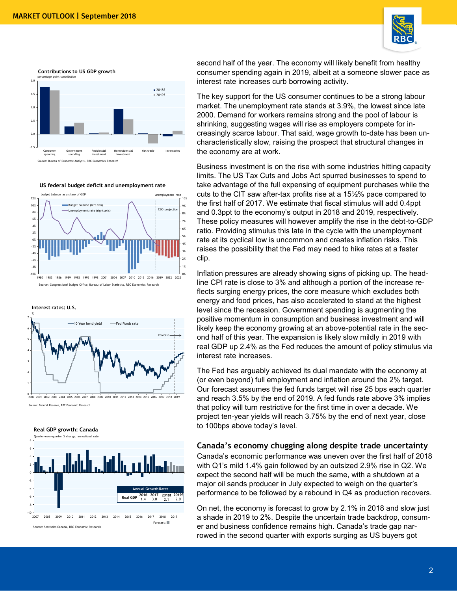



**US federal budget deficit and unemployment rate**





<sup>0</sup> 2000 2001 2002 2003 2004 2005 2006 2007 2008 2009 2010 2011 2012 2013 2014 2015 2016 2017 2018 2019 Source: Federal Reserve, RBC Economic Rese

**Real GDP growth: Canada** 



second half of the year. The economy will likely benefit from healthy consumer spending again in 2019, albeit at a someone slower pace as interest rate increases curb borrowing activity.

The key support for the US consumer continues to be a strong labour market. The unemployment rate stands at 3.9%, the lowest since late 2000. Demand for workers remains strong and the pool of labour is shrinking, suggesting wages will rise as employers compete for increasingly scarce labour. That said, wage growth to-date has been uncharacteristically slow, raising the prospect that structural changes in the economy are at work.

Business investment is on the rise with some industries hitting capacity limits. The US Tax Cuts and Jobs Act spurred businesses to spend to take advantage of the full expensing of equipment purchases while the cuts to the CIT saw after-tax profits rise at a 15½% pace compared to the first half of 2017. We estimate that fiscal stimulus will add 0.4ppt and 0.3ppt to the economy's output in 2018 and 2019, respectively. These policy measures will however amplify the rise in the debt-to-GDP ratio. Providing stimulus this late in the cycle with the unemployment rate at its cyclical low is uncommon and creates inflation risks. This raises the possibility that the Fed may need to hike rates at a faster clip.

Inflation pressures are already showing signs of picking up. The headline CPI rate is close to 3% and although a portion of the increase reflects surging energy prices, the core measure which excludes both energy and food prices, has also accelerated to stand at the highest level since the recession. Government spending is augmenting the positive momentum in consumption and business investment and will likely keep the economy growing at an above-potential rate in the second half of this year. The expansion is likely slow mildly in 2019 with real GDP up 2.4% as the Fed reduces the amount of policy stimulus via interest rate increases.

The Fed has arguably achieved its dual mandate with the economy at (or even beyond) full employment and inflation around the 2% target. Our forecast assumes the fed funds target will rise 25 bps each quarter and reach 3.5% by the end of 2019. A fed funds rate above 3% implies that policy will turn restrictive for the first time in over a decade. We project ten-year yields will reach 3.75% by the end of next year, close to 100bps above today's level.

#### **Canada's economy chugging along despite trade uncertainty**

Canada's economic performance was uneven over the first half of 2018 with Q1's mild 1.4% gain followed by an outsized 2.9% rise in Q2. We expect the second half will be much the same, with a shutdown at a major oil sands producer in July expected to weigh on the quarter's performance to be followed by a rebound in Q4 as production recovers.

On net, the economy is forecast to grow by 2.1% in 2018 and slow just a shade in 2019 to 2%. Despite the uncertain trade backdrop, consumer and business confidence remains high. Canada's trade gap narrowed in the second quarter with exports surging as US buyers got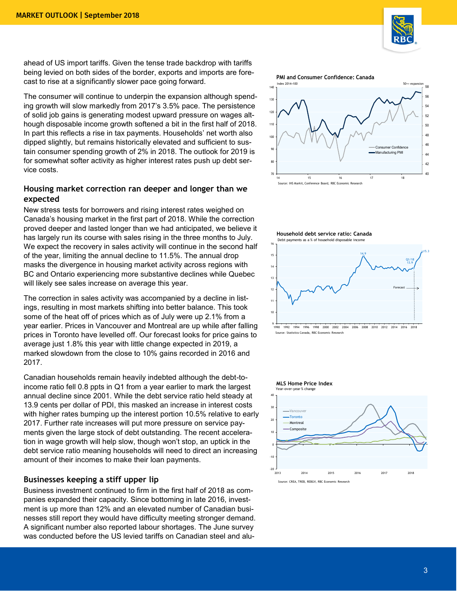

ahead of US import tariffs. Given the tense trade backdrop with tariffs being levied on both sides of the border, exports and imports are forecast to rise at a significantly slower pace going forward.

The consumer will continue to underpin the expansion although spending growth will slow markedly from 2017's 3.5% pace. The persistence of solid job gains is generating modest upward pressure on wages although disposable income growth softened a bit in the first half of 2018. In part this reflects a rise in tax payments. Households' net worth also dipped slightly, but remains historically elevated and sufficient to sustain consumer spending growth of 2% in 2018. The outlook for 2019 is for somewhat softer activity as higher interest rates push up debt service costs.

#### **Housing market correction ran deeper and longer than we expected**

New stress tests for borrowers and rising interest rates weighed on Canada's housing market in the first part of 2018. While the correction proved deeper and lasted longer than we had anticipated, we believe it has largely run its course with sales rising in the three months to July. We expect the recovery in sales activity will continue in the second half of the year, limiting the annual decline to 11.5%. The annual drop masks the divergence in housing market activity across regions with BC and Ontario experiencing more substantive declines while Quebec will likely see sales increase on average this year.

The correction in sales activity was accompanied by a decline in listings, resulting in most markets shifting into better balance. This took some of the heat off of prices which as of July were up 2.1% from a year earlier. Prices in Vancouver and Montreal are up while after falling prices in Toronto have levelled off. Our forecast looks for price gains to average just 1.8% this year with little change expected in 2019, a marked slowdown from the close to 10% gains recorded in 2016 and 2017.

Canadian households remain heavily indebted although the debt -to income ratio fell 0.8 ppts in Q1 from a year earlier to mark the largest annual decline since 2001. While the debt service ratio held steady at 13.9 cents per dollar of PDI, this masked an increase in interest costs with higher rates bumping up the interest portion 10.5% relative to early 2017. Further rate increases will put more pressure on service payments given the large stock of debt outstanding. The recent acceleration in wage growth will help slow, though won't stop, an uptick in the debt service ratio meaning households will need to direct an increasing amount of their incomes to make their loan payments.

#### **Businesses keeping a stiff upper lip**

Business investment continued to firm in the first half of 2018 as companies expanded their capacity. Since bottoming in late 2016, investment is up more than 12% and an elevated number of Canadian businesses still report they would have difficulty meeting stronger demand. A significant number also reported labour shortages. The June survey was conducted before the US levied tariffs on Canadian steel and alu-

**PMI and Consumer Confidence: Canada**





.<br>1990 1990 1992 1994 1996 1998 2000 2002 2004 2006 2008 2010 2012 2014 2016 2018 nada, RBC Ec

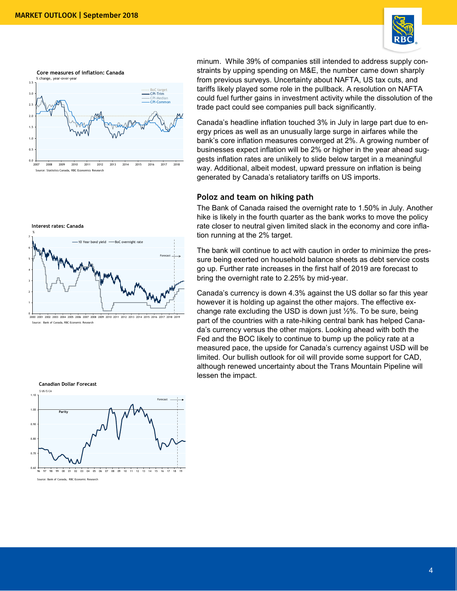





Bank of Canada, RBC Econo



minum. While 39% of companies still intended to address supply constraints by upping spending on M&E, the number came down sharply from previous surveys. Uncertainty about NAFTA, US tax cuts, and tariffs likely played some role in the pullback. A resolution on NAFTA could fuel further gains in investment activity while the dissolution of the trade pact could see companies pull back significantly.

Canada's headline inflation touched 3% in July in large part due to energy prices as well as an unusually large surge in airfares while the bank's core inflation measures converged at 2%. A growing number of businesses expect inflation will be 2% or higher in the year ahead suggests inflation rates are unlikely to slide below target in a meaningful way. Additional, albeit modest, upward pressure on inflation is being generated by Canada's retaliatory tariffs on US imports.

#### **Poloz and team on hiking path**

The Bank of Canada raised the overnight rate to 1.50% in July. Another hike is likely in the fourth quarter as the bank works to move the policy rate closer to neutral given limited slack in the economy and core inflation running at the 2% target.

The bank will continue to act with caution in order to minimize the pressure being exerted on household balance sheets as debt service costs go up. Further rate increases in the first half of 2019 are forecast to bring the overnight rate to 2.25% by mid-year.

Canada's currency is down 4.3% against the US dollar so far this year however it is holding up against the other majors. The effective exchange rate excluding the USD is down just ½%. To be sure, being part of the countries with a rate-hiking central bank has helped Canada's currency versus the other majors. Looking ahead with both the Fed and the BOC likely to continue to bump up the policy rate at a measured pace, the upside for Canada's currency against USD will be limited. Our bullish outlook for oil will provide some support for CAD, although renewed uncertainty about the Trans Mountain Pipeline will lessen the impact.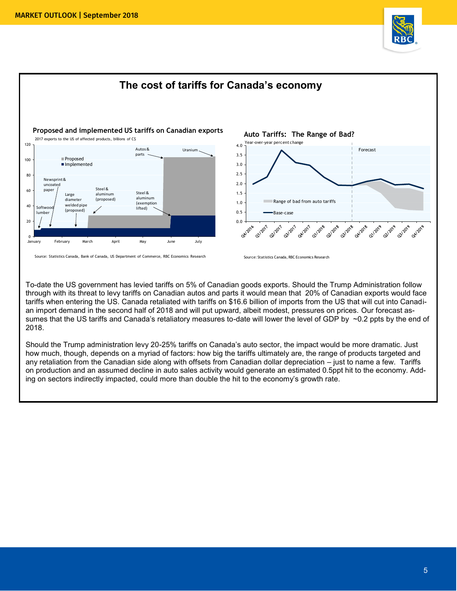



To-date the US government has levied tariffs on 5% of Canadian goods exports. Should the Trump Administration follow through with its threat to levy tariffs on Canadian autos and parts it would mean that 20% of Canadian exports would face tariffs when entering the US. Canada retaliated with tariffs on \$16.6 billion of imports from the US that will cut into Canadian import demand in the second half of 2018 and will put upward, albeit modest, pressures on prices. Our forecast assumes that the US tariffs and Canada's retaliatory measures to-date will lower the level of GDP by  $\sim$ 0.2 ppts by the end of 2018.

Should the Trump administration levy 20-25% tariffs on Canada's auto sector, the impact would be more dramatic. Just how much, though, depends on a myriad of factors: how big the tariffs ultimately are, the range of products targeted and any retaliation from the Canadian side along with offsets from Canadian dollar depreciation – just to name a few. Tariffs on production and an assumed decline in auto sales activity would generate an estimated 0.5ppt hit to the economy. Adding on sectors indirectly impacted, could more than double the hit to the economy's growth rate.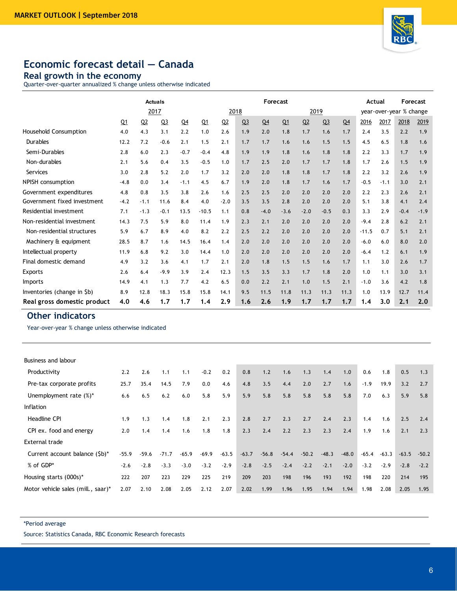

# **Economic forecast detail — Canada**

## **Real growth in the economy**

| <b>Real growth in the economy</b><br>Quarter-over-quarter annualized % change unless otherwise indicated |                |        |                |                |         |                |                |                |          |        |                |                |         |        |                         |          |
|----------------------------------------------------------------------------------------------------------|----------------|--------|----------------|----------------|---------|----------------|----------------|----------------|----------|--------|----------------|----------------|---------|--------|-------------------------|----------|
|                                                                                                          |                |        | <b>Actuals</b> |                |         |                |                |                | Forecast |        |                |                |         | Actual |                         | Forecast |
|                                                                                                          |                |        | 2017           |                |         |                | 2018           |                |          |        | 2019           |                |         |        | year-over-year % change |          |
|                                                                                                          | Q <sub>1</sub> | Q2     | Q3             | Q <sub>4</sub> | Q1      | Q <sub>2</sub> | Q <sub>3</sub> | Q <sub>4</sub> | Q1       | Q2     | Q <sub>3</sub> | Q <sub>4</sub> | 2016    | 2017   | 2018                    | 2019     |
| <b>Household Consumption</b>                                                                             | 4.0            | 4.3    | 3.1            | 2.2            | 1.0     | 2.6            | 1.9            | 2.0            | 1.8      | 1.7    | 1.6            | 1.7            | 2.4     | 3.5    | 2.2                     | 1.9      |
| <b>Durables</b>                                                                                          | 12.2           | 7.2    | $-0.6$         | 2.1            | 1.5     | 2.1            | 1.7            | 1.7            | 1.6      | 1.6    | 1.5            | 1.5            | 4.5     | 6.5    | 1.8                     | 1.6      |
| Semi-Durables                                                                                            | 2.8            | 6.0    | 2.3            | $-0.7$         | $-0.4$  | 4.8            | 1.9            | 1.9            | 1.8      | 1.6    | 1.8            | 1.8            | 2.2     | 3.3    | 1.7                     | 1.9      |
| Non-durables                                                                                             | 2.1            | 5.6    | 0.4            | 3.5            | $-0.5$  | 1.0            | 1.7            | 2.5            | 2.0      | 1.7    | 1.7            | 1.8            | 1.7     | 2.6    | 1.5                     | 1.9      |
| Services                                                                                                 | 3.0            | 2.8    | 5.2            | 2.0            | 1.7     | 3.2            | 2.0            | 2.0            | 1.8      | 1.8    | 1.7            | 1.8            | 2.2     | 3.2    | 2.6                     | 1.9      |
| <b>NPISH</b> consumption                                                                                 | $-4.8$         | 0.0    | 3.4            | $-1.1$         | 4.5     | 6.7            | 1.9            | 2.0            | 1.8      | 1.7    | 1.6            | 1.7            | $-0.5$  | $-1.1$ | 3.0                     | 2.1      |
| Government expenditures                                                                                  | 4.8            | 0.8    | 3.5            | 3.8            | 2.6     | 1.6            | 2.5            | 2.5            | 2.0      | 2.0    | 2.0            | 2.0            | 2.2     | 2.3    | 2.6                     | 2.1      |
| Government fixed investment                                                                              | $-4.2$         | $-1.1$ | 11.6           | 8.4            | 4.0     | $-2.0$         | 3.5            | 3.5            | 2.8      | 2.0    | 2.0            | 2.0            | 5.1     | 3.8    | 4.1                     | 2.4      |
| Residential investment                                                                                   | 7.1            | $-1.3$ | $-0.1$         | 13.5           | $-10.5$ | 1.1            | 0.8            | $-4.0$         | $-3.6$   | $-2.0$ | $-0.5$         | 0.3            | 3.3     | 2.9    | $-0.4$                  | $-1.9$   |
| Non-residential investment                                                                               | 14.3           | 7.5    | 5.9            | 8.0            | 11.4    | 1.9            | 2.3            | 2.1            | 2.0      | 2.0    | 2.0            | 2.0            | $-9.4$  | 2.8    | 6.2                     | 2.1      |
| Non-residential structures                                                                               | 5.9            | 6.7    | 8.9            | 4.0            | 8.2     | 2.2            | 2.5            | 2.2            | 2.0      | 2.0    | 2.0            | 2.0            | $-11.5$ | 0.7    | 5.1                     | 2.1      |
| Machinery & equipment                                                                                    | 28.5           | 8.7    | 1.6            | 14.5           | 16.4    | 1.4            | 2.0            | 2.0            | 2.0      | 2.0    | 2.0            | 2.0            | $-6.0$  | 6.0    | 8.0                     | 2.0      |
| Intellectual property                                                                                    | 11.9           | 6.8    | 9.2            | 3.0            | 14.4    | 1.0            | 2.0            | 2.0            | 2.0      | 2.0    | 2.0            | 2.0            | $-6.4$  | 1.2    | 6.1                     | 1.9      |
| Final domestic demand                                                                                    | 4.9            | 3.2    | 3.6            | 4.1            | 1.7     | 2.1            | 2.0            | 1.8            | 1.5      | 1.5    | 1.6            | 1.7            | 1.1     | 3.0    | 2.6                     | 1.7      |
| Exports                                                                                                  | 2.6            | 6.4    | $-9.9$         | 3.9            | 2.4     | 12.3           | 1.5            | 3.5            | 3.3      | 1.7    | 1.8            | 2.0            | 1.0     | 1.1    | 3.0                     | 3.1      |
| Imports                                                                                                  | 14.9           | 4.1    | 1.3            | 7.7            | 4.2     | 6.5            | 0.0            | 2.2            | 2.1      | 1.0    | 1.5            | 2.1            | $-1.0$  | 3.6    | 4.2                     | 1.8      |
| Inventories (change in \$b)                                                                              | 8.9            | 12.8   | 18.3           | 15.8           | 15.8    | 14.1           | 9.5            | 11.5           | 11.8     | 11.3   | 11.3           | 11.3           | 1.0     | 13.9   | 12.7                    | 11.4     |
| Real gross domestic product                                                                              | 4.0            | 4.6    | 1.7            | 1.7            | 1.4     | 2.9            | 1.6            | 2.6            | 1.9      | 1.7    | 1.7            | 1.7            | 1.4     | 3.0    | 2.1                     | 2.0      |

#### **Other indicators**

Year-over-year % change unless otherwise indicated

| Business and labour                |         |         |         |         |         |         |         |         |         |         |         |         |         |         |         |         |
|------------------------------------|---------|---------|---------|---------|---------|---------|---------|---------|---------|---------|---------|---------|---------|---------|---------|---------|
| Productivity                       | 2.2     | 2.6     | 1.1     | 1.1     | $-0.2$  | 0.2     | 0.8     | 1.2     | 1.6     | 1.3     | 1.4     | 1.0     | 0.6     | 1.8     | 0.5     | 1.3     |
| Pre-tax corporate profits          | 25.7    | 35.4    | 14.5    | 7.9     | 0.0     | 4.6     | 4.8     | 3.5     | 4.4     | 2.0     | 2.7     | 1.6     | $-1.9$  | 19.9    | 3.2     | 2.7     |
| Unemployment rate $(\%)^*$         | 6.6     | 6.5     | 6.2     | 6.0     | 5.8     | 5.9     | 5.9     | 5.8     | 5.8     | 5.8     | 5.8     | 5.8     | 7.0     | 6.3     | 5.9     | 5.8     |
| <b>Inflation</b>                   |         |         |         |         |         |         |         |         |         |         |         |         |         |         |         |         |
| <b>Headline CPI</b>                | 1.9     | 1.3     | 1.4     | 1.8     | 2.1     | 2.3     | 2.8     | 2.7     | 2.3     | 2.7     | 2.4     | 2.3     | 1.4     | 1.6     | 2.5     | 2.4     |
| CPI ex. food and energy            | 2.0     | 1.4     | 1.4     | 1.6     | 1.8     | 1.8     | 2.3     | 2.4     | 2.2     | 2.3     | 2.3     | 2.4     | 1.9     | 1.6     | 2.1     | 2.3     |
| External trade                     |         |         |         |         |         |         |         |         |         |         |         |         |         |         |         |         |
| Current account balance (\$b)*     | $-55.9$ | $-59.6$ | $-71.7$ | $-65.9$ | $-69.9$ | $-63.5$ | $-63.7$ | $-56.8$ | $-54.4$ | $-50.2$ | $-48.3$ | $-48.0$ | $-65.4$ | $-63.3$ | $-63.5$ | $-50.2$ |
| % of GDP*                          | $-2.6$  | $-2.8$  | $-3.3$  | $-3.0$  | $-3.2$  | $-2.9$  | $-2.8$  | $-2.5$  | $-2.4$  | $-2.2$  | $-2.1$  | $-2.0$  | $-3.2$  | $-2.9$  | $-2.8$  | $-2.2$  |
| Housing starts (000s)*             | 222     | 207     | 223     | 229     | 225     | 219     | 209     | 203     | 198     | 196     | 193     | 192     | 198     | 220     | 214     | 195     |
| Motor vehicle sales (mill., saar)* | 2.07    | 2.10    | 2.08    | 2.05    | 2.12    | 2.07    | 2.02    | 1.99    | 1.96    | 1.95    | 1.94    | 1.94    | 1.98    | 2.08    | 2.05    | 1.95    |

\*Period average

Source: Statistics Canada, RBC Economic Research forecasts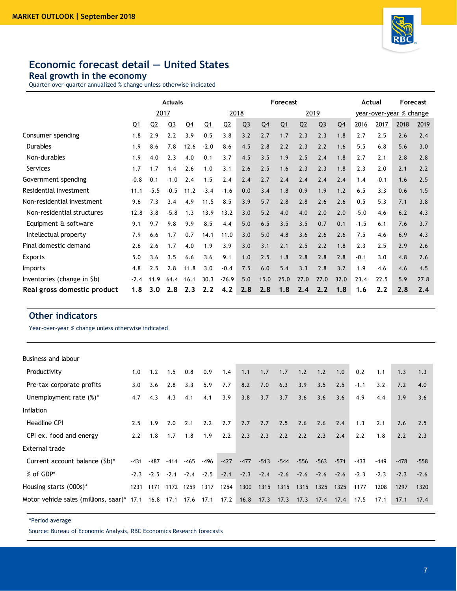

# **Economic forecast detail — United States**

#### **Real growth in the economy**

| Real grower in the economy<br>Quarter-over-quarter annualized % change unless otherwise indicated |        |        |                |                |        |         |                |                |          |                |                |                |        |                         |      |          |
|---------------------------------------------------------------------------------------------------|--------|--------|----------------|----------------|--------|---------|----------------|----------------|----------|----------------|----------------|----------------|--------|-------------------------|------|----------|
|                                                                                                   |        |        | <b>Actuals</b> |                |        |         |                |                | Forecast |                |                |                |        | Actual                  |      | Forecast |
|                                                                                                   |        |        | 2017           |                |        | 2018    |                |                |          |                | 2019           |                |        | year-over-year % change |      |          |
|                                                                                                   | $Q_1$  | Q2     | Q <sub>3</sub> | Q <sub>4</sub> | Q1     | Q2      | Q <sub>3</sub> | Q <sub>4</sub> | $Q_1$    | Q <sub>2</sub> | Q <sub>3</sub> | Q <sub>4</sub> | 2016   | 2017                    | 2018 | 2019     |
| Consumer spending                                                                                 | 1.8    | 2.9    | 2.2            | 3.9            | 0.5    | 3.8     | 3.2            | 2.7            | 1.7      | 2.3            | 2.3            | 1.8            | 2.7    | 2.5                     | 2.6  | 2.4      |
| <b>Durables</b>                                                                                   | 1.9    | 8.6    | 7.8            | 12.6           | $-2.0$ | 8.6     | 4.5            | 2.8            | 2.2      | 2.3            | 2.2            | 1.6            | 5.5    | 6.8                     | 5.6  | 3.0      |
| Non-durables                                                                                      | 1.9    | 4.0    | 2.3            | 4.0            | 0.1    | 3.7     | 4.5            | 3.5            | 1.9      | 2.5            | 2.4            | 1.8            | 2.7    | 2.1                     | 2.8  | 2.8      |
| Services                                                                                          | 1.7    | 1.7    | 1.4            | 2.6            | 1.0    | 3.1     | 2.6            | 2.5            | 1.6      | 2.3            | 2.3            | 1.8            | 2.3    | 2.0                     | 2.1  | 2.2      |
| Government spending                                                                               | $-0.8$ | 0.1    | $-1.0$         | 2.4            | 1.5    | 2.4     | 2.4            | 2.7            | 2.4      | 2.4            | 2.4            | 2.4            | 1.4    | $-0.1$                  | 1.6  | 2.5      |
| Residential investment                                                                            | 11.1   | $-5.5$ | $-0.5$         | 11.2           | $-3.4$ | $-1.6$  | 0.0            | 3.4            | 1.8      | 0.9            | 1.9            | 1.2            | 6.5    | 3.3                     | 0.6  | 1.5      |
| Non-residential investment                                                                        | 9.6    | 7.3    | 3.4            | 4.9            | 11.5   | 8.5     | 3.9            | 5.7            | 2.8      | 2.8            | 2.6            | 2.6            | 0.5    | 5.3                     | 7.1  | 3.8      |
| Non-residential structures                                                                        | 12.8   | 3.8    | $-5.8$         | 1.3            | 13.9   | 13.2    | 3.0            | 5.2            | 4.0      | 4.0            | 2.0            | 2.0            | $-5.0$ | 4.6                     | 6.2  | 4.3      |
| Equipment & software                                                                              | 9.1    | 9.7    | 9.8            | 9.9            | 8.5    | 4.4     | 5.0            | 6.5            | 3.5      | 3.5            | 0.7            | 0.1            | $-1.5$ | 6.1                     | 7.6  | 3.7      |
| Intellectual property                                                                             | 7.9    | 6.6    | 1.7            | 0.7            | 14.1   | 11.0    | 3.0            | 5.0            | 4.8      | 3.6            | 2.6            | 2.6            | 7.5    | 4.6                     | 6.9  | 4.3      |
| Final domestic demand                                                                             | 2.6    | 2.6    | 1.7            | 4.0            | 1.9    | 3.9     | 3.0            | 3.1            | 2.1      | 2.5            | 2.2            | 1.8            | 2.3    | 2.5                     | 2.9  | 2.6      |
| Exports                                                                                           | 5.0    | 3.6    | 3.5            | 6.6            | 3.6    | 9.1     | 1.0            | 2.5            | 1.8      | 2.8            | 2.8            | 2.8            | $-0.1$ | 3.0                     | 4.8  | 2.6      |
| Imports                                                                                           | 4.8    | 2.5    | 2.8            | 11.8           | 3.0    | $-0.4$  | 7.5            | 6.0            | 5.4      | 3.3            | 2.8            | 3.2            | 1.9    | 4.6                     | 4.6  | 4.5      |
| Inventories (change in \$b)                                                                       | $-2.4$ | 11.9   | 64.4           | 16.1           | 30.3   | $-26.9$ | 5.0            | 15.0           | 25.0     | 27.0           | 27.0           | 32.0           | 23.4   | 22.5                    | 5.9  | 27.8     |
| Real gross domestic product                                                                       | 1.8    | 3.0    | 2.8            | 2.3            | 2.2    | 4.2     | 2.8            | 2.8            | 1.8      | 2.4            | 2.2            | 1.8            | 1.6    | 2.2                     | 2.8  | 2.4      |

#### **Other indicators**

Year-over-year % change unless otherwise indicated

| Business and labour                                            |               |             |        |      |                  |        |        |                  |      |        |        |        |        |        |        |        |
|----------------------------------------------------------------|---------------|-------------|--------|------|------------------|--------|--------|------------------|------|--------|--------|--------|--------|--------|--------|--------|
| Productivity                                                   | 1.0           | 1.2         | 1.5    | 0.8  | 0.9              | 1.4    | 1.1    | 1.7              | 1.7  | 1.2    | 1.2    | 1.0    | 0.2    | 1.1    | 1.3    | 1.3    |
| Pre-tax corporate profits                                      | 3.0           | 3.6         | 2.8    | 3.3  | 5.9              | 7.7    | 8.2    | 7.0              | 6.3  | 3.9    | 3.5    | 2.5    | $-1.1$ | 3.2    | 7.2    | 4.0    |
| Unemployment rate $(\%)^*$                                     | 4.7           | 4.3         | 4.3    | 4.1  | 4.1              | 3.9    | 3.8    | 3.7              | 3.7  | 3.6    | 3.6    | 3.6    | 4.9    | 4.4    | 3.9    | 3.6    |
| <b>Inflation</b>                                               |               |             |        |      |                  |        |        |                  |      |        |        |        |        |        |        |        |
| <b>Headline CPI</b>                                            | 2.5           | 1.9         | 2.0    | 2.1  | 2.2              | 2.7    | 2.7    | 2.7              | 2.5  | 2.6    | 2.6    | 2.4    | 1.3    | 2.1    | 2.6    | 2.5    |
| CPI ex. food and energy                                        | $2.2^{\circ}$ | 1.8         | 1.7    | 1.8  | 1.9              | 2.2    | 2.3    | 2.3              | 2.2  | 2.2    | 2.3    | 2.4    | 2.2    | 1.8    | 2.2    | 2.3    |
| External trade                                                 |               |             |        |      |                  |        |        |                  |      |        |        |        |        |        |        |        |
| Current account balance (\$b)*                                 | -431          | -487        | $-414$ | -465 | -496             | $-427$ | $-477$ | $-513$           | -544 | -556   | $-563$ | $-571$ | $-433$ | -449   | $-478$ | $-558$ |
| % of GDP*                                                      |               | $-2.3 -2.5$ |        |      | $-2.1 -2.4 -2.5$ | $-2.1$ |        | $-2.3 -2.4 -2.6$ |      | $-2.6$ | $-2.6$ | $-2.6$ | $-2.3$ | $-2.3$ | $-2.3$ | $-2.6$ |
| Housing starts (000s)*                                         | 1231          | 1171        | 1172   | 1259 | 1317             | 1254   | 1300   | 1315             | 1315 | 1315   | 1325   | 1325   | 1177   | 1208   | 1297   | 1320   |
| Motor vehicle sales (millions, saar)* 17.1 16.8 17.1 17.6 17.1 |               |             |        |      |                  | 17.2   | 16.8   | 17.3             | 17.3 | 17.3   | 17.4   | 17.4   | 17.5   | 17.1   | 17.1   | 17.4   |

\*Period average

Source: Bureau of Economic Analysis, RBC Economics Research forecasts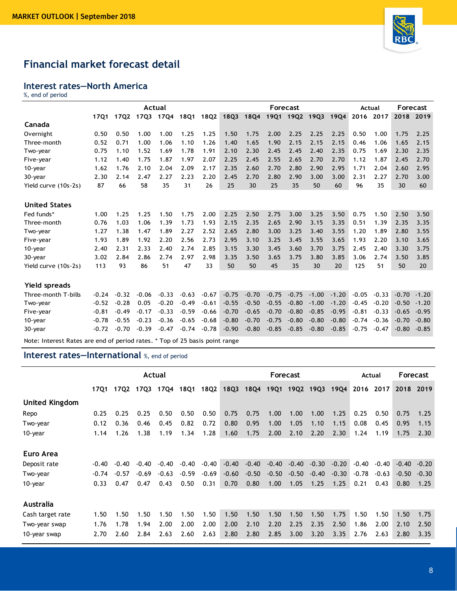

# **Financial market forecast detail**

# **Interest rates—North America**

%, end of period

|                                                                             |         |         |             | Actual      |             |         |         |             |         | Forecast       |         |             |           | Actual  |         | Forecast  |
|-----------------------------------------------------------------------------|---------|---------|-------------|-------------|-------------|---------|---------|-------------|---------|----------------|---------|-------------|-----------|---------|---------|-----------|
|                                                                             | 1701    | 1702    | <b>17Q3</b> | <b>17Q4</b> | <b>18Q1</b> | 18Q2    | 18Q3    | <b>18Q4</b> |         | 19Q1 19Q2 19Q3 |         | <b>19Q4</b> | 2016 2017 |         |         | 2018 2019 |
| Canada                                                                      |         |         |             |             |             |         |         |             |         |                |         |             |           |         |         |           |
| Overnight                                                                   | 0.50    | 0.50    | 1.00        | 1.00        | 1.25        | 1.25    | 1.50    | 1.75        | 2.00    | 2.25           | 2.25    | 2.25        | 0.50      | 1.00    | 1.75    | 2.25      |
| Three-month                                                                 | 0.52    | 0.71    | 1.00        | 1.06        | 1.10        | 1.26    | 1.40    | 1.65        | 1.90    | 2.15           | 2.15    | 2.15        | 0.46      | 1.06    | 1.65    | 2.15      |
| Two-year                                                                    | 0.75    | 1.10    | 1.52        | 1.69        | 1.78        | 1.91    | 2.10    | 2.30        | 2.45    | 2.45           | 2.40    | 2.35        | 0.75      | 1.69    | 2.30    | 2.35      |
| Five-year                                                                   | 1.12    | 1.40    | 1.75        | 1.87        | 1.97        | 2.07    | 2.25    | 2.45        | 2.55    | 2.65           | 2.70    | 2.70        | 1.12      | 1.87    | 2.45    | 2.70      |
| $10$ -year                                                                  | 1.62    | 1.76    | 2.10        | 2.04        | 2.09        | 2.17    | 2.35    | 2.60        | 2.70    | 2.80           | 2.90    | 2.95        | 1.71      | 2.04    | 2.60    | 2.95      |
| 30-year                                                                     | 2.30    | 2.14    | 2.47        | 2.27        | 2.23        | 2.20    | 2.45    | 2.70        | 2.80    | 2.90           | 3.00    | 3.00        | 2.31      | 2.27    | 2.70    | 3.00      |
| Yield curve (10s-2s)                                                        | 87      | 66      | 58          | 35          | 31          | 26      | 25      | 30          | 25      | 35             | 50      | 60          | 96        | 35      | 30      | 60        |
|                                                                             |         |         |             |             |             |         |         |             |         |                |         |             |           |         |         |           |
| <b>United States</b>                                                        |         |         |             |             |             |         |         |             |         |                |         |             |           |         |         |           |
| Fed funds*                                                                  | 1.00    | 1.25    | 1.25        | 1.50        | 1.75        | 2.00    | 2.25    | 2.50        | 2.75    | 3.00           | 3.25    | 3.50        | 0.75      | 1.50    | 2.50    | 3.50      |
| Three-month                                                                 | 0.76    | 1.03    | 1.06        | 1.39        | 1.73        | 1.93    | 2.15    | 2.35        | 2.65    | 2.90           | 3.15    | 3.35        | 0.51      | 1.39    | 2.35    | 3.35      |
| Two-year                                                                    | 1.27    | 1.38    | 1.47        | 1.89        | 2.27        | 2.52    | 2.65    | 2.80        | 3.00    | 3.25           | 3.40    | 3.55        | 1.20      | 1.89    | 2.80    | 3.55      |
| Five-year                                                                   | 1.93    | 1.89    | 1.92        | 2.20        | 2.56        | 2.73    | 2.95    | 3.10        | 3.25    | 3.45           | 3.55    | 3.65        | 1.93      | 2.20    | 3.10    | 3.65      |
| $10$ -year                                                                  | 2.40    | 2.31    | 2.33        | 2.40        | 2.74        | 2.85    | 3.15    | 3.30        | 3.45    | 3.60           | 3.70    | 3.75        | 2.45      | 2.40    | 3.30    | 3.75      |
| 30-year                                                                     | 3.02    | 2.84    | 2.86        | 2.74        | 2.97        | 2.98    | 3.35    | 3.50        | 3.65    | 3.75           | 3.80    | 3.85        | 3.06      | 2.74    | 3.50    | 3.85      |
| Yield curve (10s-2s)                                                        | 113     | 93      | 86          | 51          | 47          | 33      | 50      | 50          | 45      | 35             | 30      | 20          | 125       | 51      | 50      | 20        |
|                                                                             |         |         |             |             |             |         |         |             |         |                |         |             |           |         |         |           |
| Yield spreads                                                               |         |         |             |             |             |         |         |             |         |                |         |             |           |         |         |           |
| Three-month T-bills                                                         | $-0.24$ | $-0.32$ | $-0.06$     | $-0.33$     | $-0.63$     | $-0.67$ | $-0.75$ | $-0.70$     | $-0.75$ | $-0.75$        | $-1.00$ | $-1.20$     | $-0.05$   | $-0.33$ | $-0.70$ | $-1.20$   |
| Two-year                                                                    | $-0.52$ | $-0.28$ | 0.05        | $-0.20$     | $-0.49$     | $-0.61$ | $-0.55$ | $-0.50$     | $-0.55$ | $-0.80$        | $-1.00$ | $-1.20$     | $-0.45$   | $-0.20$ | $-0.50$ | $-1.20$   |
| Five-year                                                                   | $-0.81$ | $-0.49$ | $-0.17$     | $-0.33$     | $-0.59$     | $-0.66$ | $-0.70$ | $-0.65$     | $-0.70$ | $-0.80$        | $-0.85$ | $-0.95$     | $-0.81$   | $-0.33$ | $-0.65$ | $-0.95$   |
| 10-year                                                                     | $-0.78$ | $-0.55$ | $-0.23$     | $-0.36$     | $-0.65$     | $-0.68$ | $-0.80$ | $-0.70$     | $-0.75$ | $-0.80$        | $-0.80$ | $-0.80$     | $-0.74$   | $-0.36$ | $-0.70$ | $-0.80$   |
| 30-year                                                                     | $-0.72$ | $-0.70$ | $-0.39$     | $-0.47$     | $-0.74$     | $-0.78$ | $-0.90$ | $-0.80$     | $-0.85$ | $-0.85$        | $-0.80$ | $-0.85$     | $-0.75$   | $-0.47$ | $-0.80$ | $-0.85$   |
| Note: Interest Rates are end of period rates. * Top of 25 basis point range |         |         |             |             |             |         |         |             |         |                |         |             |           |         |         |           |

## **Interest rates—International** %, end of period

|                       |             |         |         | Actual  |             |         |         |             | Forecast    |           |         |             | Actual  |         |         | Forecast  |
|-----------------------|-------------|---------|---------|---------|-------------|---------|---------|-------------|-------------|-----------|---------|-------------|---------|---------|---------|-----------|
|                       | <b>17Q1</b> | 1702    | 17Q3    | 1704    | <b>18Q1</b> | 18Q2    | 18Q3    | <b>18Q4</b> | <b>19Q1</b> | 1902 1903 |         | <b>19Q4</b> | 2016    | 2017    |         | 2018 2019 |
| <b>United Kingdom</b> |             |         |         |         |             |         |         |             |             |           |         |             |         |         |         |           |
| Repo                  | 0.25        | 0.25    | 0.25    | 0.50    | 0.50        | 0.50    | 0.75    | 0.75        | 1.00        | 1.00      | 1.00    | 1.25        | 0.25    | 0.50    | 0.75    | 1.25      |
| Two-year              | 0.12        | 0.36    | 0.46    | 0.45    | 0.82        | 0.72    | 0.80    | 0.95        | 1.00        | 1.05      | 1.10    | 1.15        | 0.08    | 0.45    | 0.95    | 1.15      |
| 10-year               | 1.14        | 1.26    | 1.38    | 1.19    | 1.34        | 1.28    | 1.60    | 1.75        | 2.00        | 2.10      | 2.20    | 2.30        | 1.24    | 1.19    | 1.75    | 2.30      |
| Euro Area             |             |         |         |         |             |         |         |             |             |           |         |             |         |         |         |           |
| Deposit rate          | -0.40       | $-0.40$ | $-0.40$ | $-0.40$ | $-0.40$     | $-0.40$ | $-0.40$ | $-0.40$     | $-0.40$     | $-0.40$   | $-0.30$ | $-0.20$     | $-0.40$ | $-0.40$ | $-0.40$ | $-0.20$   |
| Two-year              | $-0.74$     | $-0.57$ | $-0.69$ | $-0.63$ | $-0.59$     | $-0.69$ | $-0.60$ | $-0.50$     | $-0.50$     | $-0.50$   | $-0.40$ | $-0.30$     | $-0.78$ | $-0.63$ | $-0.50$ | $-0.30$   |
| $10$ -year            | 0.33        | 0.47    | 0.47    | 0.43    | 0.50        | 0.31    | 0.70    | 0.80        | 1.00        | 1.05      | 1.25    | 1.25        | 0.21    | 0.43    | 0.80    | 1.25      |
| Australia             |             |         |         |         |             |         |         |             |             |           |         |             |         |         |         |           |
| Cash target rate      | 1.50        | 1.50    | 1.50    | 1.50    | 1.50        | 1.50    | 1.50    | 1.50        | 1.50        | 1.50      | 1.50    | 1.75        | 1.50    | 1.50    | 1.50    | 1.75      |
| Two-year swap         | 1.76        | 1.78    | 1.94    | 2.00    | 2.00        | 2.00    | 2.00    | 2.10        | 2.20        | 2.25      | 2.35    | 2.50        | 1.86    | 2.00    | 2.10    | 2.50      |
| 10-year swap          | 2.70        | 2.60    | 2.84    | 2.63    | 2.60        | 2.63    | 2.80    | 2.80        | 2.85        | 3.00      | 3.20    | 3.35        | 2.76    | 2.63    | 2.80    | 3.35      |